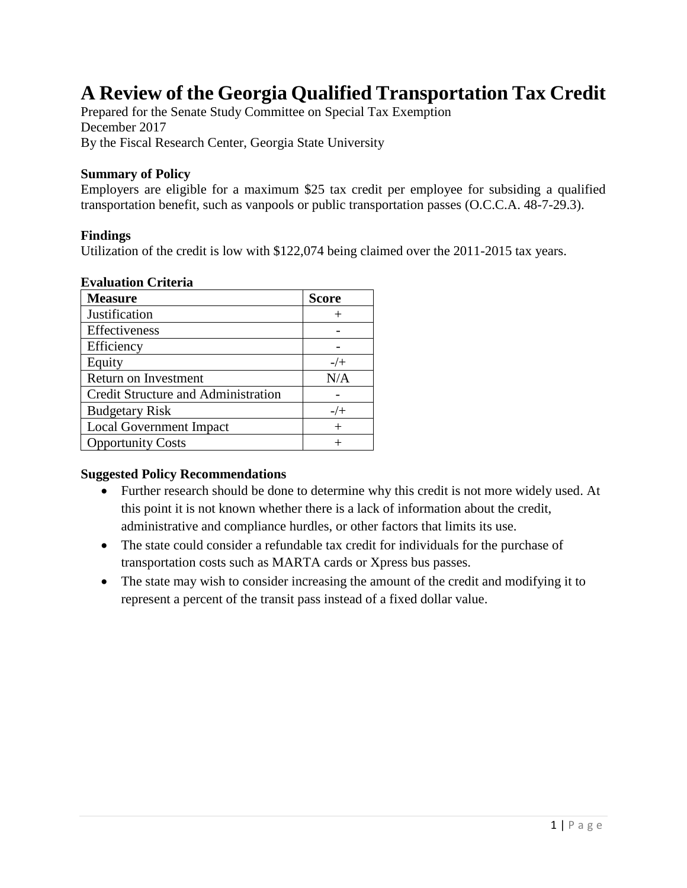# **A Review of the Georgia Qualified Transportation Tax Credit**

Prepared for the Senate Study Committee on Special Tax Exemption December 2017 By the Fiscal Research Center, Georgia State University

#### **Summary of Policy**

Employers are eligible for a maximum \$25 tax credit per employee for subsiding a qualified transportation benefit, such as vanpools or public transportation passes (O.C.C.A. 48-7-29.3).

#### **Findings**

Utilization of the credit is low with \$122,074 being claimed over the 2011-2015 tax years.

#### **Evaluation Criteria**

| <b>Measure</b>                      | <b>Score</b> |
|-------------------------------------|--------------|
| Justification                       |              |
| Effectiveness                       |              |
| Efficiency                          |              |
| Equity                              | $-/-$        |
| Return on Investment                | N/A          |
| Credit Structure and Administration |              |
| <b>Budgetary Risk</b>               | $-/+$        |
| <b>Local Government Impact</b>      |              |
| <b>Opportunity Costs</b>            |              |

#### **Suggested Policy Recommendations**

- Further research should be done to determine why this credit is not more widely used. At this point it is not known whether there is a lack of information about the credit, administrative and compliance hurdles, or other factors that limits its use.
- The state could consider a refundable tax credit for individuals for the purchase of transportation costs such as MARTA cards or Xpress bus passes.
- The state may wish to consider increasing the amount of the credit and modifying it to represent a percent of the transit pass instead of a fixed dollar value.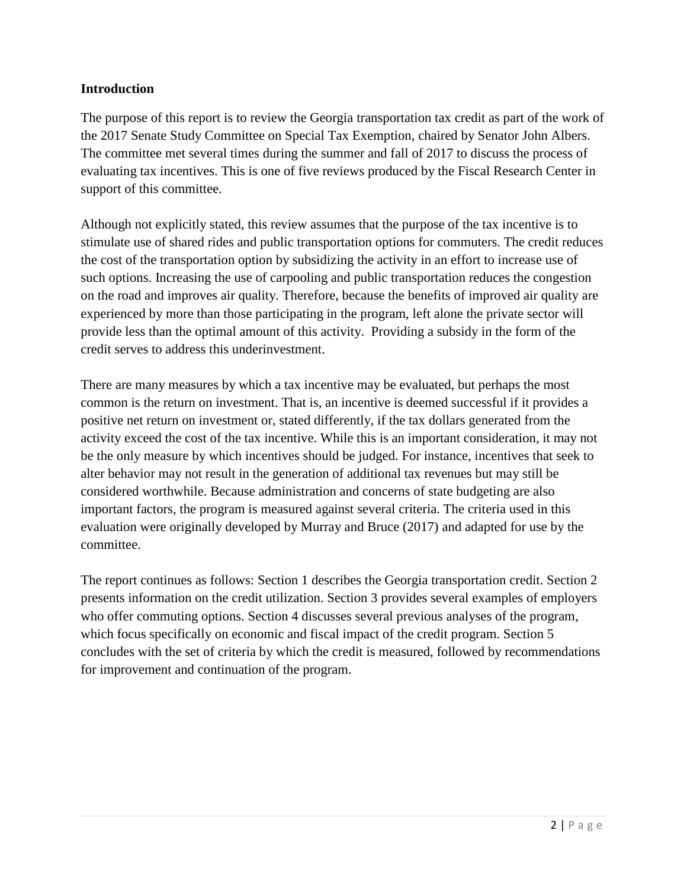## **Introduction**

The purpose of this report is to review the Georgia transportation tax credit as part of the work of the 2017 Senate Study Committee on Special Tax Exemption, chaired by Senator John Albers. The committee met several times during the summer and fall of 2017 to discuss the process of evaluating tax incentives. This is one of five reviews produced by the Fiscal Research Center in support of this committee.

Although not explicitly stated, this review assumes that the purpose of the tax incentive is to stimulate use of shared rides and public transportation options for commuters. The credit reduces the cost of the transportation option by subsidizing the activity in an effort to increase use of such options. Increasing the use of carpooling and public transportation reduces the congestion on the road and improves air quality. Therefore, because the benefits of improved air quality are experienced by more than those participating in the program, left alone the private sector will provide less than the optimal amount of this activity. Providing a subsidy in the form of the credit serves to address this underinvestment.

There are many measures by which a tax incentive may be evaluated, but perhaps the most common is the return on investment. That is, an incentive is deemed successful if it provides a positive net return on investment or, stated differently, if the tax dollars generated from the activity exceed the cost of the tax incentive. While this is an important consideration, it may not be the only measure by which incentives should be judged. For instance, incentives that seek to alter behavior may not result in the generation of additional tax revenues but may still be considered worthwhile. Because administration and concerns of state budgeting are also important factors, the program is measured against several criteria. The criteria used in this evaluation were originally developed by Murray and Bruce (2017) and adapted for use by the committee.

The report continues as follows: Section 1 describes the Georgia transportation credit. Section 2 presents information on the credit utilization. Section 3 provides several examples of employers who offer commuting options. Section 4 discusses several previous analyses of the program, which focus specifically on economic and fiscal impact of the credit program. Section 5 concludes with the set of criteria by which the credit is measured, followed by recommendations for improvement and continuation of the program.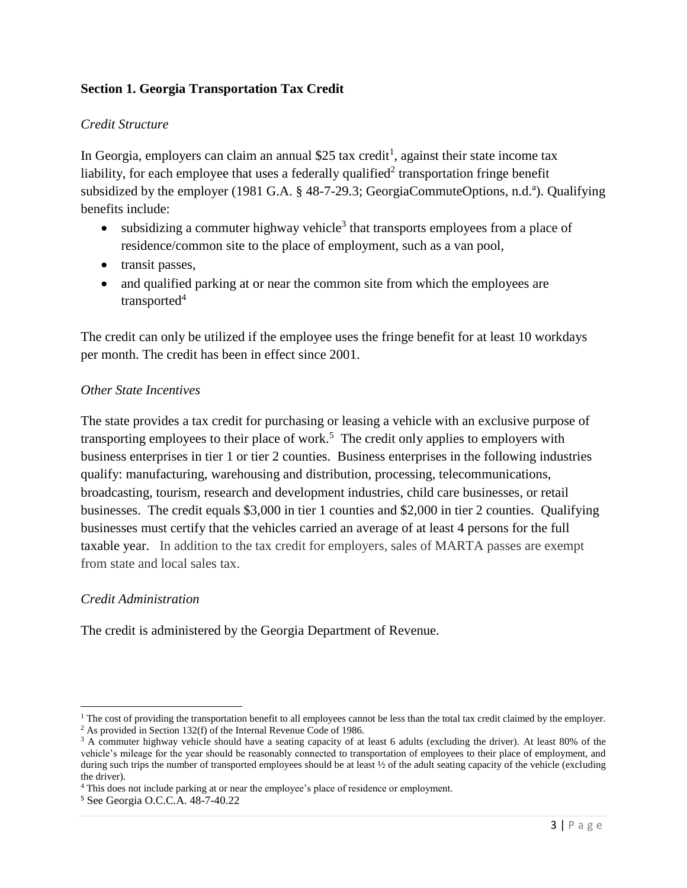# **Section 1. Georgia Transportation Tax Credit**

## *Credit Structure*

In Georgia, employers can claim an annual \$25 tax credit<sup>1</sup>, against their state income tax liability, for each employee that uses a federally qualified<sup>2</sup> transportation fringe benefit subsidized by the employer (1981 G.A. § 48-7-29.3; GeorgiaCommuteOptions, n.d.<sup>a</sup>). Qualifying benefits include:

- subsidizing a commuter highway vehicle<sup>3</sup> that transports employees from a place of residence/common site to the place of employment, such as a van pool,
- transit passes,
- and qualified parking at or near the common site from which the employees are transported $4$

The credit can only be utilized if the employee uses the fringe benefit for at least 10 workdays per month. The credit has been in effect since 2001.

## *Other State Incentives*

The state provides a tax credit for purchasing or leasing a vehicle with an exclusive purpose of transporting employees to their place of work.<sup>5</sup> The credit only applies to employers with business enterprises in tier 1 or tier 2 counties. Business enterprises in the following industries qualify: manufacturing, warehousing and distribution, processing, telecommunications, broadcasting, tourism, research and development industries, child care businesses, or retail businesses. The credit equals \$3,000 in tier 1 counties and \$2,000 in tier 2 counties. Qualifying businesses must certify that the vehicles carried an average of at least 4 persons for the full taxable year. In addition to the tax credit for employers, sales of MARTA passes are exempt from state and local sales tax.

## *Credit Administration*

 $\overline{a}$ 

The credit is administered by the Georgia Department of Revenue.

 $<sup>1</sup>$  The cost of providing the transportation benefit to all employees cannot be less than the total tax credit claimed by the employer.</sup>

<sup>2</sup> As provided in Section 132(f) of the Internal Revenue Code of 1986.

<sup>&</sup>lt;sup>3</sup> A commuter highway vehicle should have a seating capacity of at least 6 adults (excluding the driver). At least 80% of the vehicle's mileage for the year should be reasonably connected to transportation of employees to their place of employment, and during such trips the number of transported employees should be at least  $\frac{1}{2}$  of the adult seating capacity of the vehicle (excluding the driver).

<sup>&</sup>lt;sup>4</sup> This does not include parking at or near the employee's place of residence or employment.

<sup>5</sup> See Georgia O.C.C.A. 48-7-40.22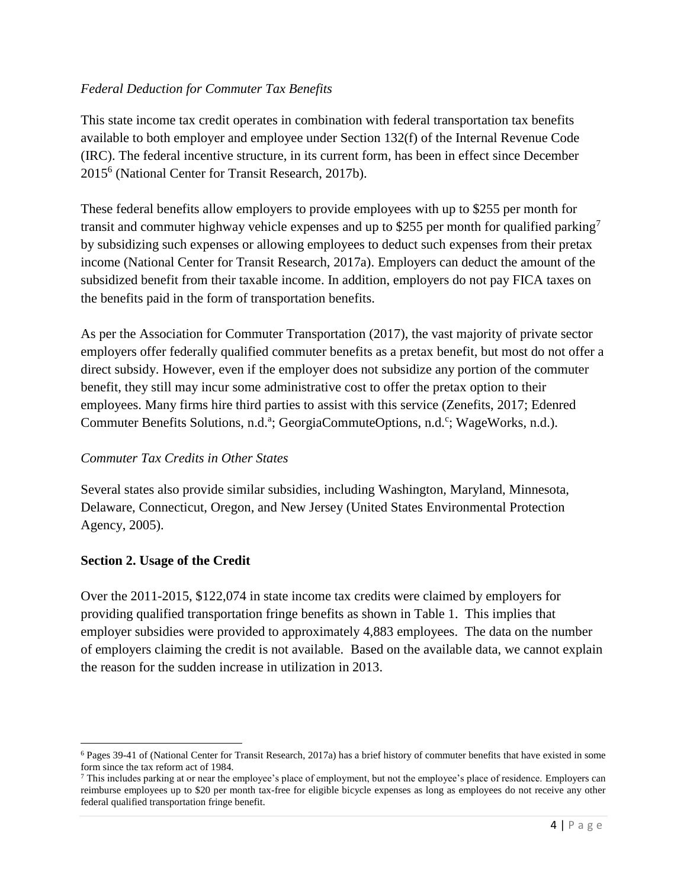## *Federal Deduction for Commuter Tax Benefits*

This state income tax credit operates in combination with federal transportation tax benefits available to both employer and employee under Section 132(f) of the Internal Revenue Code (IRC). The federal incentive structure, in its current form, has been in effect since December 2015<sup>6</sup> (National Center for Transit Research, 2017b).

These federal benefits allow employers to provide employees with up to \$255 per month for transit and commuter highway vehicle expenses and up to \$255 per month for qualified parking<sup>7</sup> by subsidizing such expenses or allowing employees to deduct such expenses from their pretax income (National Center for Transit Research, 2017a). Employers can deduct the amount of the subsidized benefit from their taxable income. In addition, employers do not pay FICA taxes on the benefits paid in the form of transportation benefits.

As per the Association for Commuter Transportation (2017), the vast majority of private sector employers offer federally qualified commuter benefits as a pretax benefit, but most do not offer a direct subsidy. However, even if the employer does not subsidize any portion of the commuter benefit, they still may incur some administrative cost to offer the pretax option to their employees. Many firms hire third parties to assist with this service (Zenefits, 2017; Edenred Commuter Benefits Solutions, n.d.<sup>a</sup>; GeorgiaCommuteOptions, n.d.<sup>c</sup>; WageWorks, n.d.).

## *Commuter Tax Credits in Other States*

Several states also provide similar subsidies, including Washington, Maryland, Minnesota, Delaware, Connecticut, Oregon, and New Jersey (United States Environmental Protection Agency, 2005).

## **Section 2. Usage of the Credit**

Over the 2011-2015, \$122,074 in state income tax credits were claimed by employers for providing qualified transportation fringe benefits as shown in Table 1. This implies that employer subsidies were provided to approximately 4,883 employees. The data on the number of employers claiming the credit is not available. Based on the available data, we cannot explain the reason for the sudden increase in utilization in 2013.

 $\overline{\phantom{a}}$  $6$  Pages 39-41 of (National Center for Transit Research, 2017a) has a brief history of commuter benefits that have existed in some form since the tax reform act of 1984.

 $<sup>7</sup>$  This includes parking at or near the employee's place of employment, but not the employee's place of residence. Employers can</sup> reimburse employees up to \$20 per month tax-free for eligible bicycle expenses as long as employees do not receive any other federal qualified transportation fringe benefit.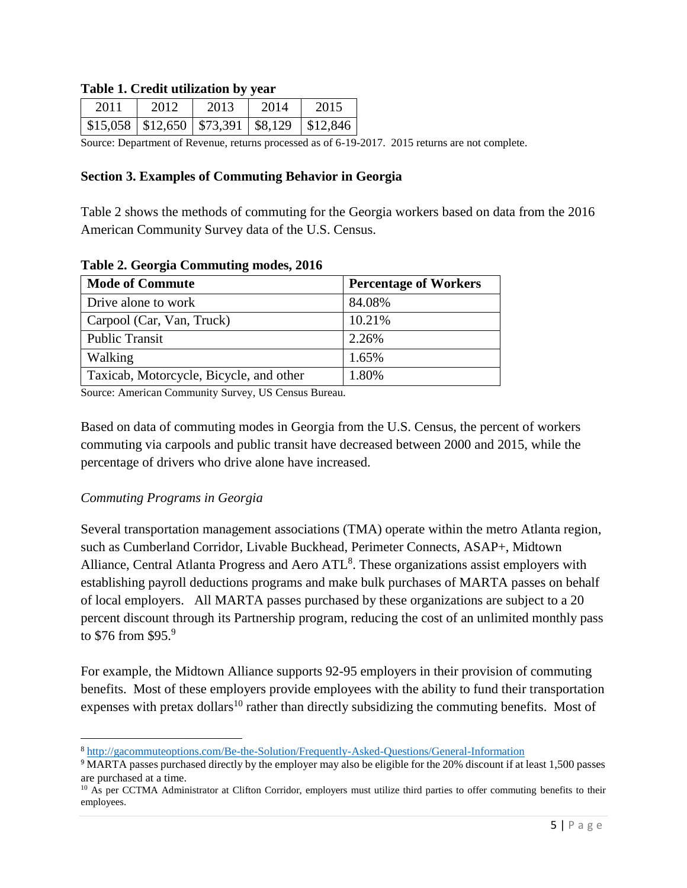#### **Table 1. Credit utilization by year**

| 2011 | 2012                                            | 2013 | 2014 | 2015       |
|------|-------------------------------------------------|------|------|------------|
|      | $$15,058 \mid $12,650 \mid $73,391 \mid $8,129$ |      |      | $\$12,846$ |

Source: Department of Revenue, returns processed as of 6-19-2017. 2015 returns are not complete.

#### **Section 3. Examples of Commuting Behavior in Georgia**

Table 2 shows the methods of commuting for the Georgia workers based on data from the 2016 American Community Survey data of the U.S. Census.

| $1.001$ at $0.001$ and $0.01$ and $0.001$ and $0.001$ and $0.001$ |                              |  |  |
|-------------------------------------------------------------------|------------------------------|--|--|
| <b>Mode of Commute</b>                                            | <b>Percentage of Workers</b> |  |  |
| Drive alone to work                                               | 84.08%                       |  |  |
| Carpool (Car, Van, Truck)                                         | 10.21%                       |  |  |
| <b>Public Transit</b>                                             | 2.26%                        |  |  |
| Walking                                                           | 1.65%                        |  |  |
| Taxicab, Motorcycle, Bicycle, and other                           | 1.80%                        |  |  |

**Table 2. Georgia Commuting modes, 2016**

Source: American Community Survey, US Census Bureau.

Based on data of commuting modes in Georgia from the U.S. Census, the percent of workers commuting via carpools and public transit have decreased between 2000 and 2015, while the percentage of drivers who drive alone have increased.

#### *Commuting Programs in Georgia*

 $\overline{\phantom{a}}$ 

Several transportation management associations (TMA) operate within the metro Atlanta region, such as Cumberland Corridor, Livable Buckhead, Perimeter Connects, ASAP+, Midtown Alliance, Central Atlanta Progress and Aero ATL<sup>8</sup>. These organizations assist employers with establishing payroll deductions programs and make bulk purchases of MARTA passes on behalf of local employers. All MARTA passes purchased by these organizations are subject to a 20 percent discount through its Partnership program, reducing the cost of an unlimited monthly pass to  $$76$  from  $$95.<sup>9</sup>$ 

For example, the Midtown Alliance supports 92-95 employers in their provision of commuting benefits. Most of these employers provide employees with the ability to fund their transportation expenses with pretax dollars<sup>10</sup> rather than directly subsidizing the commuting benefits. Most of

<sup>8</sup> <http://gacommuteoptions.com/Be-the-Solution/Frequently-Asked-Questions/General-Information>

<sup>9</sup> MARTA passes purchased directly by the employer may also be eligible for the 20% discount if at least 1,500 passes are purchased at a time.

<sup>&</sup>lt;sup>10</sup> As per CCTMA Administrator at Clifton Corridor, employers must utilize third parties to offer commuting benefits to their employees.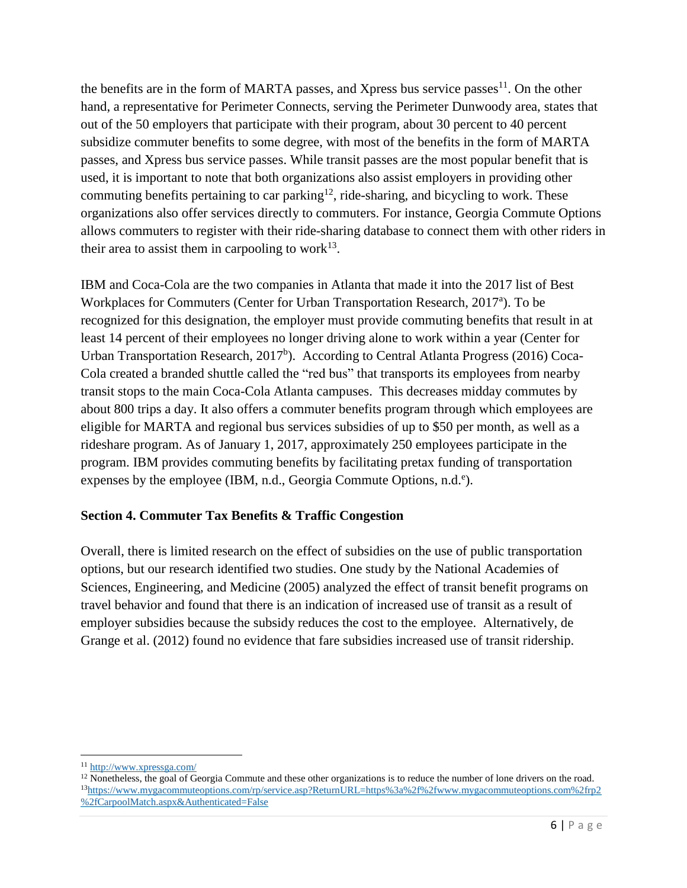the benefits are in the form of MARTA passes, and Xpress bus service passes<sup>11</sup>. On the other hand, a representative for Perimeter Connects, serving the Perimeter Dunwoody area, states that out of the 50 employers that participate with their program, about 30 percent to 40 percent subsidize commuter benefits to some degree, with most of the benefits in the form of MARTA passes, and Xpress bus service passes. While transit passes are the most popular benefit that is used, it is important to note that both organizations also assist employers in providing other commuting benefits pertaining to car parking<sup>12</sup>, ride-sharing, and bicycling to work. These organizations also offer services directly to commuters. For instance, Georgia Commute Options allows commuters to register with their ride-sharing database to connect them with other riders in their area to assist them in carpooling to work $^{13}$ .

IBM and Coca-Cola are the two companies in Atlanta that made it into the 2017 list of Best Workplaces for Commuters (Center for Urban Transportation Research, 2017<sup>a</sup>). To be recognized for this designation, the employer must provide commuting benefits that result in at least 14 percent of their employees no longer driving alone to work within a year (Center for Urban Transportation Research,  $2017^b$ ). According to Central Atlanta Progress (2016) Coca-Cola created a branded shuttle called the "red bus" that transports its employees from nearby transit stops to the main Coca-Cola Atlanta campuses. This decreases midday commutes by about 800 trips a day. It also offers a commuter benefits program through which employees are eligible for MARTA and regional bus services subsidies of up to \$50 per month, as well as a rideshare program. As of January 1, 2017, approximately 250 employees participate in the program. IBM provides commuting benefits by facilitating pretax funding of transportation expenses by the employee (IBM, n.d., Georgia Commute Options, n.d.<sup>e</sup>).

## **Section 4. Commuter Tax Benefits & Traffic Congestion**

Overall, there is limited research on the effect of subsidies on the use of public transportation options, but our research identified two studies. One study by the National Academies of Sciences, Engineering, and Medicine (2005) analyzed the effect of transit benefit programs on travel behavior and found that there is an indication of increased use of transit as a result of employer subsidies because the subsidy reduces the cost to the employee. Alternatively, de Grange et al. (2012) found no evidence that fare subsidies increased use of transit ridership.

 $\overline{a}$ 

<sup>11</sup> <http://www.xpressga.com/>

<sup>&</sup>lt;sup>12</sup> Nonetheless, the goal of Georgia Commute and these other organizations is to reduce the number of lone drivers on the road. <sup>13</sup>[https://www.mygacommuteoptions.com/rp/service.asp?ReturnURL=https%3a%2f%2fwww.mygacommuteoptions.com%2frp2](https://www.mygacommuteoptions.com/rp/service.asp?ReturnURL=https%3a%2f%2fwww.mygacommuteoptions.com%2frp2%2fCarpoolMatch.aspx&Authenticated=False) [%2fCarpoolMatch.aspx&Authenticated=False](https://www.mygacommuteoptions.com/rp/service.asp?ReturnURL=https%3a%2f%2fwww.mygacommuteoptions.com%2frp2%2fCarpoolMatch.aspx&Authenticated=False)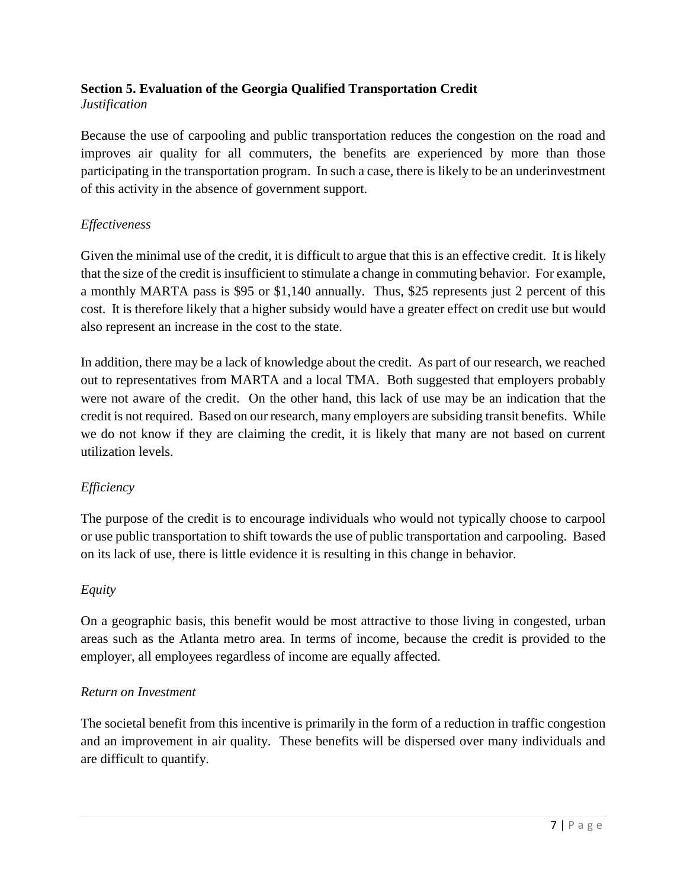#### **Section 5. Evaluation of the Georgia Qualified Transportation Credit** *Justification*

Because the use of carpooling and public transportation reduces the congestion on the road and improves air quality for all commuters, the benefits are experienced by more than those participating in the transportation program. In such a case, there is likely to be an underinvestment of this activity in the absence of government support.

# *Effectiveness*

Given the minimal use of the credit, it is difficult to argue that this is an effective credit. It is likely that the size of the credit is insufficient to stimulate a change in commuting behavior. For example, a monthly MARTA pass is \$95 or \$1,140 annually. Thus, \$25 represents just 2 percent of this cost. It is therefore likely that a higher subsidy would have a greater effect on credit use but would also represent an increase in the cost to the state.

In addition, there may be a lack of knowledge about the credit. As part of our research, we reached out to representatives from MARTA and a local TMA. Both suggested that employers probably were not aware of the credit. On the other hand, this lack of use may be an indication that the credit is not required. Based on our research, many employers are subsiding transit benefits. While we do not know if they are claiming the credit, it is likely that many are not based on current utilization levels.

# *Efficiency*

The purpose of the credit is to encourage individuals who would not typically choose to carpool or use public transportation to shift towards the use of public transportation and carpooling. Based on its lack of use, there is little evidence it is resulting in this change in behavior.

## *Equity*

On a geographic basis, this benefit would be most attractive to those living in congested, urban areas such as the Atlanta metro area. In terms of income, because the credit is provided to the employer, all employees regardless of income are equally affected.

## *Return on Investment*

The societal benefit from this incentive is primarily in the form of a reduction in traffic congestion and an improvement in air quality. These benefits will be dispersed over many individuals and are difficult to quantify.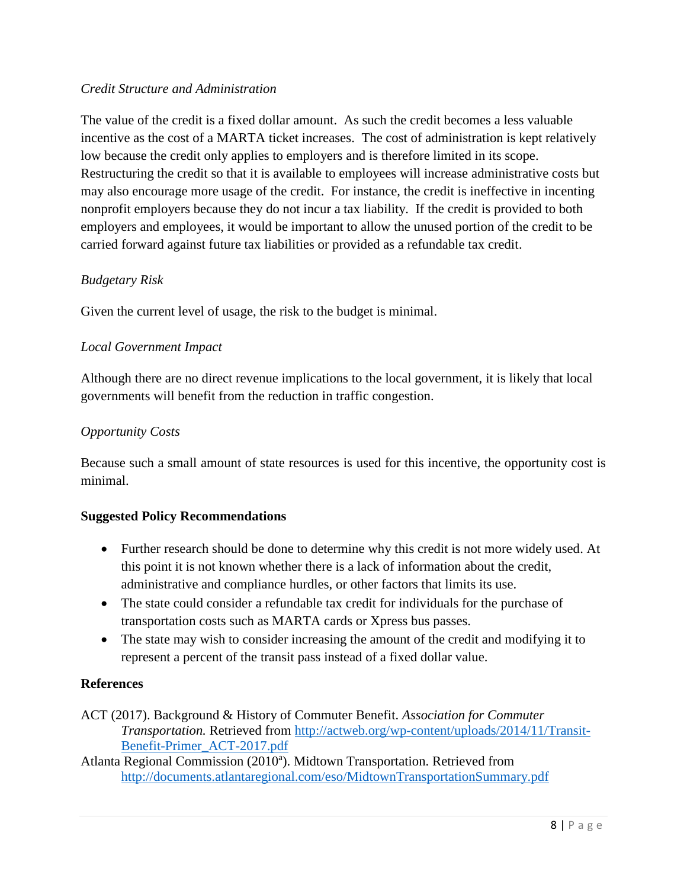## *Credit Structure and Administration*

The value of the credit is a fixed dollar amount. As such the credit becomes a less valuable incentive as the cost of a MARTA ticket increases. The cost of administration is kept relatively low because the credit only applies to employers and is therefore limited in its scope. Restructuring the credit so that it is available to employees will increase administrative costs but may also encourage more usage of the credit. For instance, the credit is ineffective in incenting nonprofit employers because they do not incur a tax liability. If the credit is provided to both employers and employees, it would be important to allow the unused portion of the credit to be carried forward against future tax liabilities or provided as a refundable tax credit.

# *Budgetary Risk*

Given the current level of usage, the risk to the budget is minimal.

# *Local Government Impact*

Although there are no direct revenue implications to the local government, it is likely that local governments will benefit from the reduction in traffic congestion.

# *Opportunity Costs*

Because such a small amount of state resources is used for this incentive, the opportunity cost is minimal.

## **Suggested Policy Recommendations**

- Further research should be done to determine why this credit is not more widely used. At this point it is not known whether there is a lack of information about the credit, administrative and compliance hurdles, or other factors that limits its use.
- The state could consider a refundable tax credit for individuals for the purchase of transportation costs such as MARTA cards or Xpress bus passes.
- The state may wish to consider increasing the amount of the credit and modifying it to represent a percent of the transit pass instead of a fixed dollar value.

## **References**

ACT (2017). Background & History of Commuter Benefit. *Association for Commuter Transportation.* Retrieved from [http://actweb.org/wp-content/uploads/2014/11/Transit-](http://actweb.org/wp-content/uploads/2014/11/Transit-Benefit-Primer_ACT-2017.pdf)[Benefit-Primer\\_ACT-2017.pdf](http://actweb.org/wp-content/uploads/2014/11/Transit-Benefit-Primer_ACT-2017.pdf)

Atlanta Regional Commission (2010<sup>a</sup>). Midtown Transportation. Retrieved from <http://documents.atlantaregional.com/eso/MidtownTransportationSummary.pdf>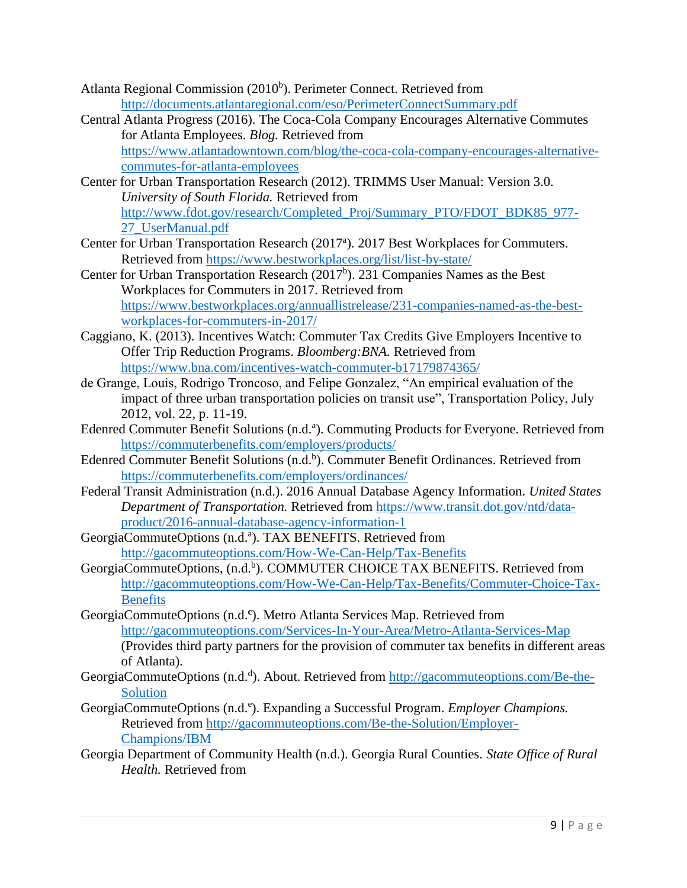- Atlanta Regional Commission (2010<sup>b</sup>). Perimeter Connect. Retrieved from <http://documents.atlantaregional.com/eso/PerimeterConnectSummary.pdf>
- Central Atlanta Progress (2016). The Coca-Cola Company Encourages Alternative Commutes for Atlanta Employees. *Blog.* Retrieved from [https://www.atlantadowntown.com/blog/the-coca-cola-company-encourages-alternative](https://www.atlantadowntown.com/blog/the-coca-cola-company-encourages-alternative-commutes-for-atlanta-employees)[commutes-for-atlanta-employees](https://www.atlantadowntown.com/blog/the-coca-cola-company-encourages-alternative-commutes-for-atlanta-employees)
- Center for Urban Transportation Research (2012). TRIMMS User Manual: Version 3.0. *University of South Florida.* Retrieved from [http://www.fdot.gov/research/Completed\\_Proj/Summary\\_PTO/FDOT\\_BDK85\\_977-](http://www.fdot.gov/research/Completed_Proj/Summary_PTO/FDOT_BDK85_977-27_UserManual.pdf) [27\\_UserManual.pdf](http://www.fdot.gov/research/Completed_Proj/Summary_PTO/FDOT_BDK85_977-27_UserManual.pdf)
- Center for Urban Transportation Research (2017<sup>a</sup>). 2017 Best Workplaces for Commuters. Retrieved from<https://www.bestworkplaces.org/list/list-by-state/>
- Center for Urban Transportation Research  $(2017<sup>b</sup>)$ . 231 Companies Names as the Best Workplaces for Commuters in 2017. Retrieved from [https://www.bestworkplaces.org/annuallistrelease/231-companies-named-as-the-best](https://www.bestworkplaces.org/annuallistrelease/231-companies-named-as-the-best-workplaces-for-commuters-in-2017/)[workplaces-for-commuters-in-2017/](https://www.bestworkplaces.org/annuallistrelease/231-companies-named-as-the-best-workplaces-for-commuters-in-2017/)
- Caggiano, K. (2013). Incentives Watch: Commuter Tax Credits Give Employers Incentive to Offer Trip Reduction Programs. *Bloomberg:BNA.* Retrieved from <https://www.bna.com/incentives-watch-commuter-b17179874365/>
- de Grange, Louis, Rodrigo Troncoso, and Felipe Gonzalez, "An empirical evaluation of the impact of three urban transportation policies on transit use", Transportation Policy, July 2012, vol. 22, p. 11-19.
- Edenred Commuter Benefit Solutions (n.d.<sup>a</sup>). Commuting Products for Everyone. Retrieved from <https://commuterbenefits.com/employers/products/>
- Edenred Commuter Benefit Solutions (n.d.<sup>b</sup>). Commuter Benefit Ordinances. Retrieved from <https://commuterbenefits.com/employers/ordinances/>
- Federal Transit Administration (n.d.). 2016 Annual Database Agency Information. *United States Department of Transportation.* Retrieved from [https://www.transit.dot.gov/ntd/data](https://www.transit.dot.gov/ntd/data-product/2016-annual-database-agency-information-1)[product/2016-annual-database-agency-information-1](https://www.transit.dot.gov/ntd/data-product/2016-annual-database-agency-information-1)
- GeorgiaCommuteOptions (n.d.<sup>a</sup>). TAX BENEFITS. Retrieved from <http://gacommuteoptions.com/How-We-Can-Help/Tax-Benefits>
- GeorgiaCommuteOptions, (n.d.<sup>b</sup>). COMMUTER CHOICE TAX BENEFITS. Retrieved from [http://gacommuteoptions.com/How-We-Can-Help/Tax-Benefits/Commuter-Choice-Tax-](http://gacommuteoptions.com/How-We-Can-Help/Tax-Benefits/Commuter-Choice-Tax-Benefits)[Benefits](http://gacommuteoptions.com/How-We-Can-Help/Tax-Benefits/Commuter-Choice-Tax-Benefits)
- GeorgiaCommuteOptions (n.d.**<sup>c</sup>** ). Metro Atlanta Services Map. Retrieved from <http://gacommuteoptions.com/Services-In-Your-Area/Metro-Atlanta-Services-Map> (Provides third party partners for the provision of commuter tax benefits in different areas of Atlanta).
- GeorgiaCommuteOptions (n.d.<sup>d</sup>). About. Retrieved from [http://gacommuteoptions.com/Be-the-](http://gacommuteoptions.com/Be-the-Solution)[Solution](http://gacommuteoptions.com/Be-the-Solution)
- GeorgiaCommuteOptions (n.d.<sup>e</sup>). Expanding a Successful Program. *Employer Champions*. Retrieved from [http://gacommuteoptions.com/Be-the-Solution/Employer-](http://gacommuteoptions.com/Be-the-Solution/Employer-Champions/IBM)[Champions/IBM](http://gacommuteoptions.com/Be-the-Solution/Employer-Champions/IBM)
- Georgia Department of Community Health (n.d.). Georgia Rural Counties. *State Office of Rural Health.* Retrieved from